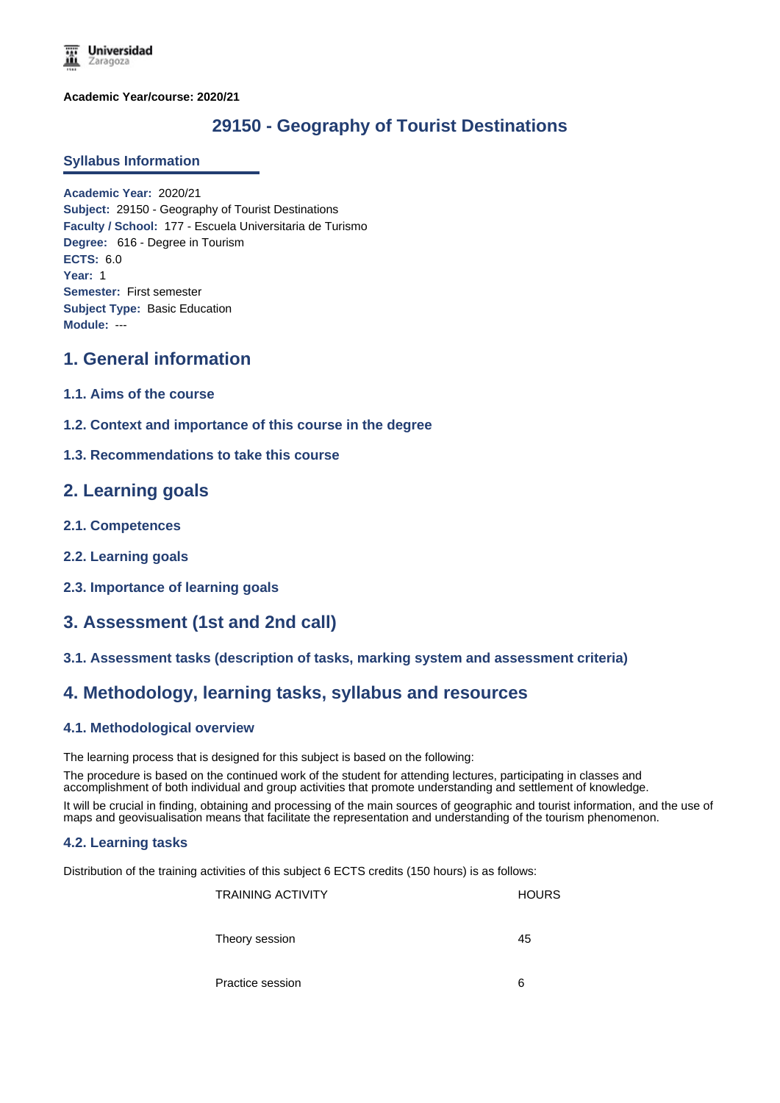**Academic Year/course: 2020/21**

# **29150 - Geography of Tourist Destinations**

### **Syllabus Information**

**Academic Year:** 2020/21 **Subject:** 29150 - Geography of Tourist Destinations **Faculty / School:** 177 - Escuela Universitaria de Turismo **Degree:** 616 - Degree in Tourism **ECTS:** 6.0 **Year:** 1 **Semester:** First semester **Subject Type:** Basic Education **Module:** ---

# **1. General information**

- **1.1. Aims of the course**
- **1.2. Context and importance of this course in the degree**

### **1.3. Recommendations to take this course**

## **2. Learning goals**

- **2.1. Competences**
- **2.2. Learning goals**
- **2.3. Importance of learning goals**

# **3. Assessment (1st and 2nd call)**

### **3.1. Assessment tasks (description of tasks, marking system and assessment criteria)**

# **4. Methodology, learning tasks, syllabus and resources**

### **4.1. Methodological overview**

The learning process that is designed for this subject is based on the following:

The procedure is based on the continued work of the student for attending lectures, participating in classes and accomplishment of both individual and group activities that promote understanding and settlement of knowledge.

It will be crucial in finding, obtaining and processing of the main sources of geographic and tourist information, and the use of maps and geovisualisation means that facilitate the representation and understanding of the tourism phenomenon.

#### **4.2. Learning tasks**

Distribution of the training activities of this subject 6 ECTS credits (150 hours) is as follows:

TRAINING ACTIVITY **Example 2018** HOURS Theory session 45

Practice session 6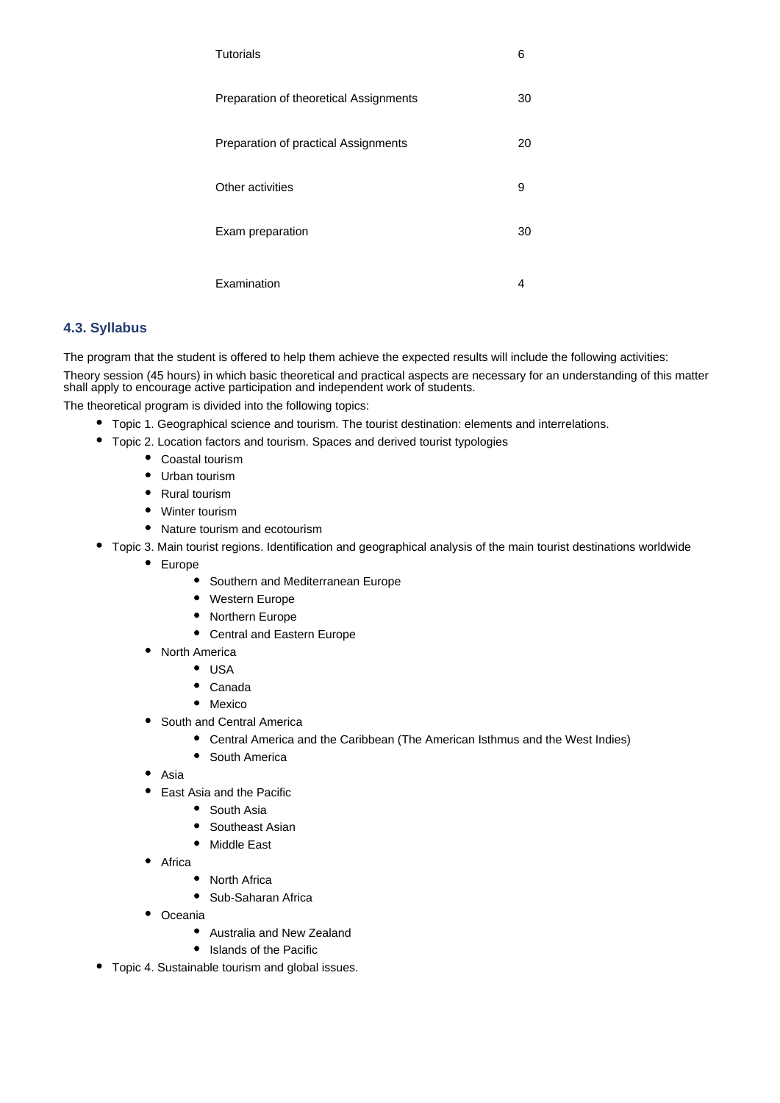| Tutorials                              | 6  |
|----------------------------------------|----|
| Preparation of theoretical Assignments | 30 |
| Preparation of practical Assignments   | 20 |
| Other activities                       | 9  |
| Exam preparation                       | 30 |
| Examination                            | 4  |

### **4.3. Syllabus**

The program that the student is offered to help them achieve the expected results will include the following activities:

Theory session (45 hours) in which basic theoretical and practical aspects are necessary for an understanding of this matter shall apply to encourage active participation and independent work of students.

The theoretical program is divided into the following topics:

- Topic 1. Geographical science and tourism. The tourist destination: elements and interrelations.
- Topic 2. Location factors and tourism. Spaces and derived tourist typologies
	- Coastal tourism
	- Urban tourism
	- Rural tourism
	- Winter tourism
	- Nature tourism and ecotourism
- Topic 3. Main tourist regions. Identification and geographical analysis of the main tourist destinations worldwide
	- Europe
		- Southern and Mediterranean Europe
		- $\bullet$ Western Europe
		- $\bullet$ Northern Europe
		- Central and Eastern Europe  $\bullet$
	- North America
		- $\bullet$  USA
		- $\bullet$ Canada
		- Mexico
	- South and Central America
		- Central America and the Caribbean (The American Isthmus and the West Indies)
		- South America
	- $\bullet$ Asia
	- East Asia and the Pacific
		- $\bullet$ South Asia
		- Southeast Asian
		- $\bullet$ Middle East
	- $\bullet$ Africa
		- North Africa
		- $\bullet$ Sub-Saharan Africa
	- Oceania
		- Australia and New Zealand
		- $\bullet$ Islands of the Pacific
- Topic 4. Sustainable tourism and global issues.